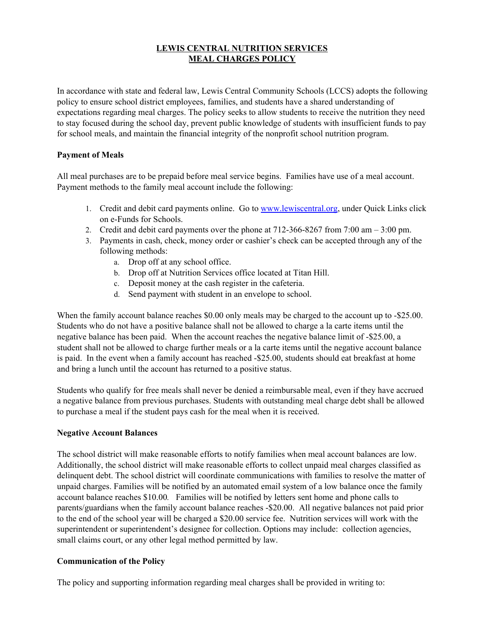## **LEWIS CENTRAL NUTRITION SERVICES MEAL CHARGES POLICY**

In accordance with state and federal law, Lewis Central Community Schools (LCCS) adopts the following policy to ensure school district employees, families, and students have a shared understanding of expectations regarding meal charges. The policy seeks to allow students to receive the nutrition they need to stay focused during the school day, prevent public knowledge of students with insufficient funds to pay for school meals, and maintain the financial integrity of the nonprofit school nutrition program.

## **Payment of Meals**

All meal purchases are to be prepaid before meal service begins. Families have use of a meal account. Payment methods to the family meal account include the following:

- 1. Credit and debit card payments online. Go to [www.lewiscentral.org](http://www.lewiscentral.org/), under Quick Links click on e-Funds for Schools.
- 2. Credit and debit card payments over the phone at 712-366-8267 from 7:00 am 3:00 pm.
- 3. Payments in cash, check, money order or cashier's check can be accepted through any of the following methods:
	- a. Drop off at any school office.
	- b. Drop off at Nutrition Services office located at Titan Hill.
	- c. Deposit money at the cash register in the cafeteria.
	- d. Send payment with student in an envelope to school.

When the family account balance reaches \$0.00 only meals may be charged to the account up to -\$25.00. Students who do not have a positive balance shall not be allowed to charge a la carte items until the negative balance has been paid. When the account reaches the negative balance limit of -\$25.00, a student shall not be allowed to charge further meals or a la carte items until the negative account balance is paid. In the event when a family account has reached -\$25.00, students should eat breakfast at home and bring a lunch until the account has returned to a positive status.

Students who qualify for free meals shall never be denied a reimbursable meal, even if they have accrued a negative balance from previous purchases. Students with outstanding meal charge debt shall be allowed to purchase a meal if the student pays cash for the meal when it is received.

## **Negative Account Balances**

The school district will make reasonable efforts to notify families when meal account balances are low. Additionally, the school district will make reasonable efforts to collect unpaid meal charges classified as delinquent debt. The school district will coordinate communications with families to resolve the matter of unpaid charges. Families will be notified by an automated email system of a low balance once the family account balance reaches \$10.00*.* Families will be notified by letters sent home and phone calls to parents/guardians when the family account balance reaches -\$20.00. All negative balances not paid prior to the end of the school year will be charged a \$20.00 service fee. Nutrition services will work with the superintendent or superintendent's designee for collection. Options may include: collection agencies, small claims court, or any other legal method permitted by law.

## **Communication of the Policy**

The policy and supporting information regarding meal charges shall be provided in writing to: